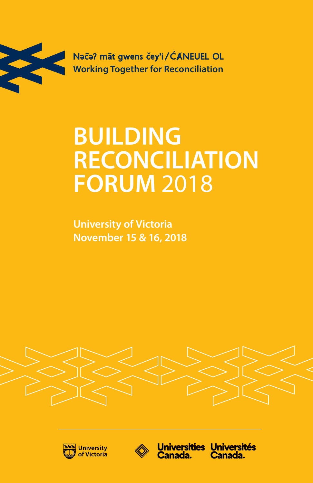

Naca? mat gwens čey'i/ĆANEUEL OL **Working Together for Reconciliation** 

## **BUILDING RECONCILIATION FORUM 2018**

**University of Victoria** November 15 & 16, 2018







Universities Universités **Canada.** Canada.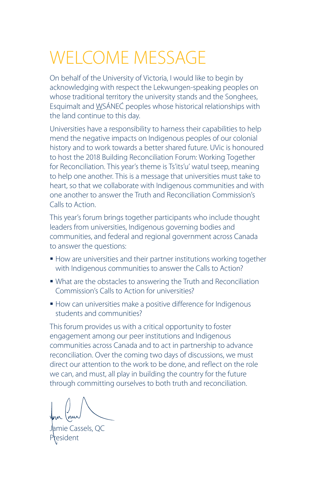## WELCOME MESSAGE

On behalf of the University of Victoria, I would like to begin by acknowledging with respect the Lekwungen-speaking peoples on whose traditional territory the university stands and the Songhees, Esquimalt and WSÁNEĆ peoples whose historical relationships with the land continue to this day.

Universities have a responsibility to harness their capabilities to help mend the negative impacts on Indigenous peoples of our colonial history and to work towards a better shared future. UVic is honoured to host the 2018 Building Reconciliation Forum: Working Together for Reconciliation. This year's theme is Ts'its'u' watul tseep, meaning to help one another. This is a message that universities must take to heart, so that we collaborate with Indigenous communities and with one another to answer the Truth and Reconciliation Commission's Calls to Action.

This year's forum brings together participants who include thought leaders from universities, Indigenous governing bodies and communities, and federal and regional government across Canada to answer the questions:

- **How are universities and their partner institutions working together** with Indigenous communities to answer the Calls to Action?
- What are the obstacles to answering the Truth and Reconciliation Commission's Calls to Action for universities?
- **How can universities make a positive difference for Indigenous** students and communities?

This forum provides us with a critical opportunity to foster engagement among our peer institutions and Indigenous communities across Canada and to act in partnership to advance reconciliation. Over the coming two days of discussions, we must direct our attention to the work to be done, and reflect on the role we can, and must, all play in building the country for the future through committing ourselves to both truth and reconciliation.

Jamie Cassels, QC President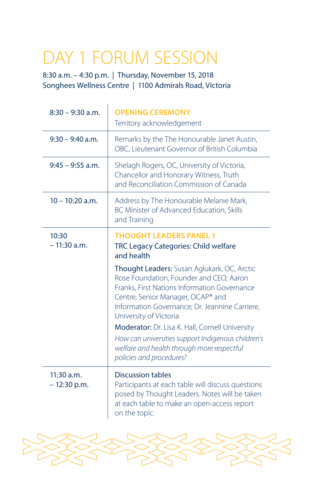## DAY 1 FORUM SESSION

8:30 a.m. – 4:30 p.m. | Thursday, November 15, 2018 Songhees Wellness Centre | 1100 Admirals Road, Victoria

| $8:30 - 9:30$ a.m.            | <b>OPENING CEREMONY</b><br>Territory acknowledgement                                                                                                                                                                                                    |
|-------------------------------|---------------------------------------------------------------------------------------------------------------------------------------------------------------------------------------------------------------------------------------------------------|
| $9:30 - 9:40$ a.m.            | Remarks by the The Honourable Janet Austin,<br>OBC, Lieutenant Governor of British Columbia                                                                                                                                                             |
| $9:45 - 9:55$ a.m.            | Shelagh Rogers, OC, University of Victoria,<br>Chancellor and Honorary Witness, Truth<br>and Reconciliation Commission of Canada                                                                                                                        |
| $10 - 10:20$ a.m.             | Address by The Honourable Melanie Mark,<br>BC Minister of Advanced Education, Skills<br>and Training                                                                                                                                                    |
| 10:30<br>$-11:30$ a.m.        | <b>THOUGHT LEADERS PANEL 1</b><br>TRC Legacy Categories: Child welfare<br>and health                                                                                                                                                                    |
|                               | Thought Leaders: Susan Aglukark, OC, Arctic<br>Rose Foundation, Founder and CEO; Aaron<br>Franks, First Nations Information Governance<br>Centre, Senior Manager, OCAP® and<br>Information Governance; Dr. Jeannine Carriere,<br>University of Victoria |
|                               | Moderator: Dr. Lisa K. Hall, Cornell University<br>How can universities support Indigenous children's<br>welfare and health through more respectful<br>policies and procedures?                                                                         |
| $11:30$ a.m.<br>$-12:30$ p.m. | Discussion tables<br>Participants at each table will discuss questions<br>posed by Thought Leaders. Notes will be taken<br>at each table to make an open-access report<br>on the topic.                                                                 |

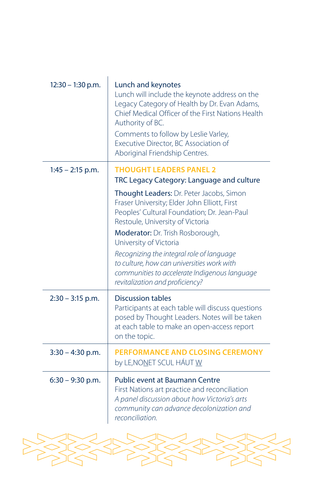| $12:30 - 1:30$ p.m. | Lunch and keynotes<br>Lunch will include the keynote address on the<br>Legacy Category of Health by Dr. Evan Adams,<br>Chief Medical Officer of the First Nations Health<br>Authority of BC.<br>Comments to follow by Leslie Varley,<br>Executive Director, BC Association of<br>Aboriginal Friendship Centres.                                                                                                                 |
|---------------------|---------------------------------------------------------------------------------------------------------------------------------------------------------------------------------------------------------------------------------------------------------------------------------------------------------------------------------------------------------------------------------------------------------------------------------|
| $1:45 - 2:15$ p.m.  | <b>THOUGHT LEADERS PANEL 2</b><br>TRC Legacy Category: Language and culture                                                                                                                                                                                                                                                                                                                                                     |
|                     | <b>Thought Leaders: Dr. Peter Jacobs, Simon</b><br>Fraser University; Elder John Elliott, First<br>Peoples' Cultural Foundation; Dr. Jean-Paul<br>Restoule, University of Victoria<br>Moderator: Dr. Trish Rosborough,<br>University of Victoria<br>Recognizing the integral role of language<br>to culture, how can universities work with<br>communities to accelerate Indigenous language<br>revitalization and proficiency? |
| $2:30 - 3:15$ p.m.  | <b>Discussion tables</b><br>Participants at each table will discuss questions<br>posed by Thought Leaders. Notes will be taken<br>at each table to make an open-access report<br>on the topic.                                                                                                                                                                                                                                  |
| $3:30 - 4:30$ p.m.  | <b>PERFORMANCE AND CLOSING CEREMONY</b><br>by LE, NONET SCUL HÁUT W                                                                                                                                                                                                                                                                                                                                                             |
| $6:30 - 9:30$ p.m.  | Public event at Baumann Centre<br>First Nations art practice and reconciliation<br>A panel discussion about how Victoria's arts<br>community can advance decolonization and<br>reconciliation.                                                                                                                                                                                                                                  |

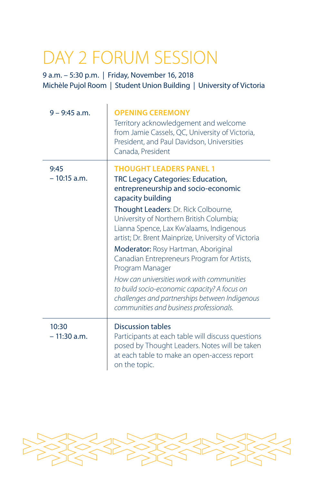## DAY 2 FORUM SESSION

9 a.m. – 5:30 p.m. | Friday, November 16, 2018 Michèle Pujol Room | Student Union Building | University of Victoria

| $9 - 9:45$ a.m.        | <b>OPENING CEREMONY</b><br>Territory acknowledgement and welcome<br>from Jamie Cassels, QC, University of Victoria,<br>President, and Paul Davidson, Universities<br>Canada, President                                                                                                                                                                                                                                                                                                                                                                                                                                     |
|------------------------|----------------------------------------------------------------------------------------------------------------------------------------------------------------------------------------------------------------------------------------------------------------------------------------------------------------------------------------------------------------------------------------------------------------------------------------------------------------------------------------------------------------------------------------------------------------------------------------------------------------------------|
| 9:45<br>$-10:15$ a.m.  | <b>THOUGHT LEADERS PANEL 1</b><br>TRC Legacy Categories: Education,<br>entrepreneurship and socio-economic<br>capacity building<br>Thought Leaders: Dr. Rick Colbourne,<br>University of Northern British Columbia;<br>Lianna Spence, Lax Kw'alaams, Indigenous<br>artist; Dr. Brent Mainprize, University of Victoria<br>Moderator: Rosy Hartman, Aboriginal<br>Canadian Entrepreneurs Program for Artists,<br>Program Manager<br>How can universities work with communities<br>to build socio-economic capacity? A focus on<br>challenges and partnerships between Indigenous<br>communities and business professionals. |
| 10:30<br>$-11:30$ a.m. | Discussion tables<br>Participants at each table will discuss questions<br>posed by Thought Leaders. Notes will be taken<br>at each table to make an open-access report<br>on the topic.                                                                                                                                                                                                                                                                                                                                                                                                                                    |